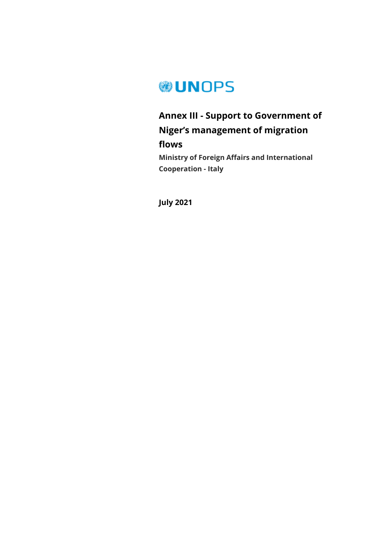

## **Annex III - Support to Government of Niger's management of migration flows**

**Ministry of Foreign Affairs and International Cooperation - Italy**

**July 2021**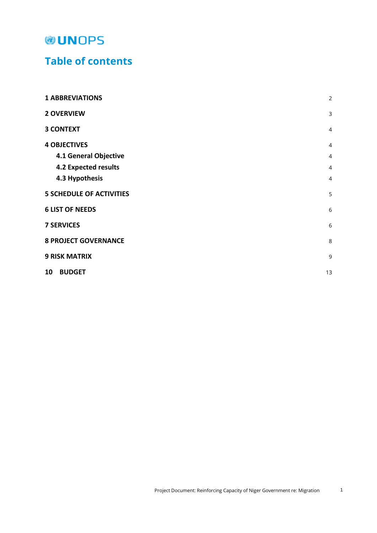### **Table of contents**

| <b>1 ABBREVIATIONS</b>          | $\overline{2}$ |
|---------------------------------|----------------|
| <b>2 OVERVIEW</b>               | 3              |
| <b>3 CONTEXT</b>                | $\overline{4}$ |
| <b>4 OBJECTIVES</b>             | $\overline{4}$ |
| 4.1 General Objective           | $\overline{4}$ |
| <b>4.2 Expected results</b>     | $\overline{4}$ |
| 4.3 Hypothesis                  | $\overline{4}$ |
| <b>5 SCHEDULE OF ACTIVITIES</b> | 5              |
| <b>6 LIST OF NEEDS</b>          | 6              |
| <b>7 SERVICES</b>               | 6              |
| <b>8 PROJECT GOVERNANCE</b>     | 8              |
| <b>9 RISK MATRIX</b>            | 9              |
| <b>BUDGET</b><br>10             | 13             |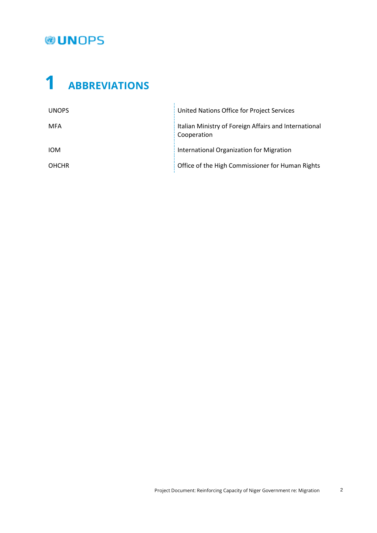# <span id="page-2-0"></span>**1 ABBREVIATIONS**

| <b>UNOPS</b> | United Nations Office for Project Services                           |
|--------------|----------------------------------------------------------------------|
| <b>MFA</b>   | Italian Ministry of Foreign Affairs and International<br>Cooperation |
| <b>IOM</b>   | International Organization for Migration                             |
| <b>OHCHR</b> | Office of the High Commissioner for Human Rights                     |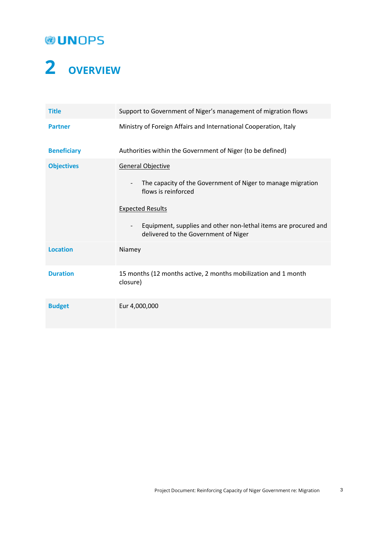## **OUNOPS**

# <span id="page-3-0"></span>**2 OVERVIEW**

| <b>Title</b>       | Support to Government of Niger's management of migration flows                                                                                                                                                                                                                                               |
|--------------------|--------------------------------------------------------------------------------------------------------------------------------------------------------------------------------------------------------------------------------------------------------------------------------------------------------------|
| <b>Partner</b>     | Ministry of Foreign Affairs and International Cooperation, Italy                                                                                                                                                                                                                                             |
| <b>Beneficiary</b> | Authorities within the Government of Niger (to be defined)                                                                                                                                                                                                                                                   |
| <b>Objectives</b>  | <b>General Objective</b><br>The capacity of the Government of Niger to manage migration<br>$\overline{\phantom{a}}$<br>flows is reinforced<br><b>Expected Results</b><br>Equipment, supplies and other non-lethal items are procured and<br>$\overline{\phantom{a}}$<br>delivered to the Government of Niger |
| <b>Location</b>    | Niamey                                                                                                                                                                                                                                                                                                       |
| <b>Duration</b>    | 15 months (12 months active, 2 months mobilization and 1 month<br>closure)                                                                                                                                                                                                                                   |
| <b>Budget</b>      | Eur 4,000,000                                                                                                                                                                                                                                                                                                |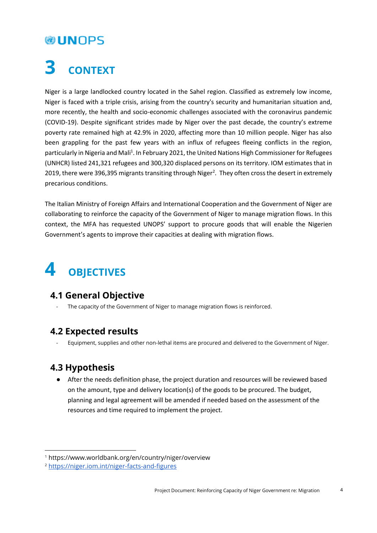## <span id="page-4-0"></span>**3 CONTEXT**

Niger is a large landlocked country located in the Sahel region. Classified as extremely low income, Niger is faced with a triple crisis, arising from the country's security and humanitarian situation and, more recently, the health and socio-economic challenges associated with the coronavirus pandemic (COVID-19). Despite significant strides made by Niger over the past decade, the country's extreme poverty rate remained high at 42.9% in 2020, affecting more than 10 million people. Niger has also been grappling for the past few years with an influx of refugees fleeing conflicts in the region, particularly in Nigeria and Mali<sup>1</sup>. In February 2021, the United Nations High Commissioner for Refugees (UNHCR) listed 241,321 refugees and 300,320 displaced persons on its territory. IOM estimates that in 2019, there were 396,395 migrants transiting through Niger<sup>2</sup>. They often cross the desert in extremely precarious conditions.

The Italian Ministry of Foreign Affairs and International Cooperation and the Government of Niger are collaborating to reinforce the capacity of the Government of Niger to manage migration flows. In this context, the MFA has requested UNOPS' support to procure goods that will enable the Nigerien Government's agents to improve their capacities at dealing with migration flows.

## <span id="page-4-1"></span>**4 OBJECTIVES**

### <span id="page-4-2"></span>**4.1 General Objective**

The capacity of the Government of Niger to manage migration flows is reinforced.

### <span id="page-4-3"></span>**4.2 Expected results**

- Equipment, supplies and other non-lethal items are procured and delivered to the Government of Niger.

### <span id="page-4-4"></span>**4.3 Hypothesis**

l

● After the needs definition phase, the project duration and resources will be reviewed based on the amount, type and delivery location(s) of the goods to be procured. The budget, planning and legal agreement will be amended if needed based on the assessment of the resources and time required to implement the project.

<sup>1</sup> https://www.worldbank.org/en/country/niger/overview

<sup>2</sup> <https://niger.iom.int/niger-facts-and-figures>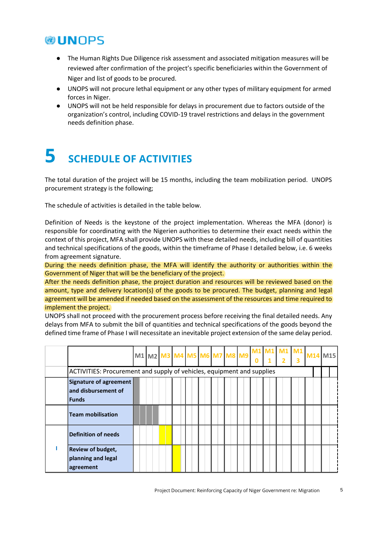- The Human Rights Due Diligence risk assessment and associated mitigation measures will be reviewed after confirmation of the project's specific beneficiaries within the Government of Niger and list of goods to be procured.
- UNOPS will not procure lethal equipment or any other types of military equipment for armed forces in Niger.
- UNOPS will not be held responsible for delays in procurement due to factors outside of the organization's control, including COVID-19 travel restrictions and delays in the government needs definition phase.

## <span id="page-5-0"></span>**5 SCHEDULE OF ACTIVITIES**

The total duration of the project will be 15 months, including the team mobilization period. UNOPS procurement strategy is the following;

The schedule of activities is detailed in the table below.

Definition of Needs is the keystone of the project implementation. Whereas the MFA (donor) is responsible for coordinating with the Nigerien authorities to determine their exact needs within the context of this project, MFA shall provide UNOPS with these detailed needs, including bill of quantities and technical specifications of the goods, within the timeframe of Phase I detailed below, i.e. 6 weeks from agreement signature.

During the needs definition phase, the MFA will identify the authority or authorities within the Government of Niger that will be the beneficiary of the project.

After the needs definition phase, the project duration and resources will be reviewed based on the amount, type and delivery location(s) of the goods to be procured. The budget, planning and legal agreement will be amended if needed based on the assessment of the resources and time required to implement the project.

UNOPS shall not proceed with the procurement process before receiving the final detailed needs. Any delays from MFA to submit the bill of quantities and technical specifications of the goods beyond the defined time frame of Phase I will necessitate an inevitable project extension of the same delay period.

|                                                                        |  |  |  | $M1$ $M2$ $M3$ $M4$ $M5$ $M6$ $M7$ $M8$ $M9$ | M1<br>$\mathbf 0$ | M1<br>2 | M1<br>3 | M14 M15 |  |
|------------------------------------------------------------------------|--|--|--|----------------------------------------------|-------------------|---------|---------|---------|--|
| ACTIVITIES: Procurement and supply of vehicles, equipment and supplies |  |  |  |                                              |                   |         |         |         |  |
| Signature of agreement<br>and disbursement of<br><b>Funds</b>          |  |  |  |                                              |                   |         |         |         |  |
| <b>Team mobilisation</b>                                               |  |  |  |                                              |                   |         |         |         |  |
| <b>Definition of needs</b>                                             |  |  |  |                                              |                   |         |         |         |  |
| <b>Review of budget,</b><br>planning and legal<br>agreement            |  |  |  |                                              |                   |         |         |         |  |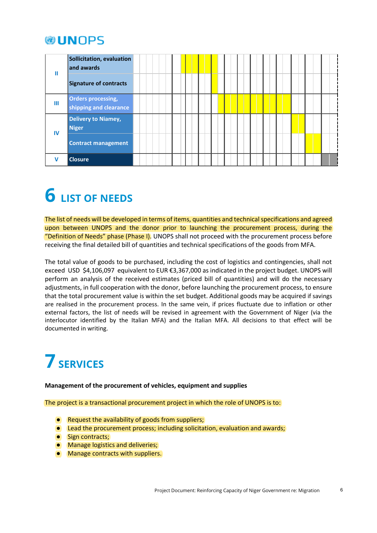### **WIINOPS**

|    | Sollicitation, evaluation<br>land awards            |  |  |  |  |  |  |  |
|----|-----------------------------------------------------|--|--|--|--|--|--|--|
|    | Signature of contracts                              |  |  |  |  |  |  |  |
| Ш  | <b>Orders processing,</b><br>shipping and clearance |  |  |  |  |  |  |  |
|    | <b>Delivery to Niamey,</b><br><b>Niger</b>          |  |  |  |  |  |  |  |
| IV | <b>Contract management</b>                          |  |  |  |  |  |  |  |
|    | <b>Closure</b>                                      |  |  |  |  |  |  |  |

# <span id="page-6-0"></span>**6 LIST OF NEEDS**

The list of needs will be developed in terms of items, quantities and technical specifications and agreed upon between UNOPS and the donor prior to launching the procurement process, during the "Definition of Needs" phase (Phase I). UNOPS shall not proceed with the procurement process before receiving the final detailed bill of quantities and technical specifications of the goods from MFA.

The total value of goods to be purchased, including the cost of logistics and contingencies, shall not exceed USD \$4,106,097 equivalent to EUR €3,367,000 as indicated in the project budget. UNOPS will perform an analysis of the received estimates (priced bill of quantities) and will do the necessary adjustments, in full cooperation with the donor, before launching the procurement process, to ensure that the total procurement value is within the set budget. Additional goods may be acquired if savings are realised in the procurement process. In the same vein, if prices fluctuate due to inflation or other external factors, the list of needs will be revised in agreement with the Government of Niger (via the interlocutor identified by the Italian MFA) and the Italian MFA. All decisions to that effect will be documented in writing.

## <span id="page-6-1"></span>**7SERVICES**

**Management of the procurement of vehicles, equipment and supplies**

The project is a transactional procurement project in which the role of UNOPS is to:

- Request the availability of goods from suppliers;
- Lead the procurement process; including solicitation, evaluation and awards;
- Sign contracts;
- Manage logistics and deliveries;
- Manage contracts with suppliers.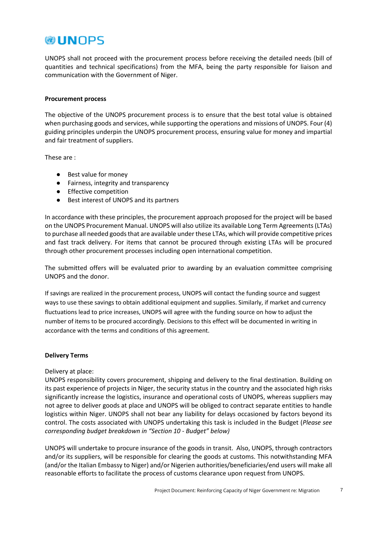### **@UNOPS**

UNOPS shall not proceed with the procurement process before receiving the detailed needs (bill of quantities and technical specifications) from the MFA, being the party responsible for liaison and communication with the Government of Niger.

#### **Procurement process**

The objective of the UNOPS procurement process is to ensure that the best total value is obtained when purchasing goods and services, while supporting the operations and missions of UNOPS. Four (4) guiding principles underpin the UNOPS procurement process, ensuring value for money and impartial and fair treatment of suppliers.

These are :

- Best value for money
- Fairness, integrity and transparency
- Effective competition
- Best interest of UNOPS and its partners

In accordance with these principles, the procurement approach proposed for the project will be based on the UNOPS Procurement Manual. UNOPS will also utilize its available Long Term Agreements (LTAs) to purchase all needed goods that are available under these LTAs, which will provide competitive prices and fast track delivery. For items that cannot be procured through existing LTAs will be procured through other procurement processes including open international competition.

The submitted offers will be evaluated prior to awarding by an evaluation committee comprising UNOPS and the donor.

If savings are realized in the procurement process, UNOPS will contact the funding source and suggest ways to use these savings to obtain additional equipment and supplies. Similarly, if market and currency fluctuations lead to price increases, UNOPS will agree with the funding source on how to adjust the number of items to be procured accordingly. Decisions to this effect will be documented in writing in accordance with the terms and conditions of this agreement.

#### **Delivery Terms**

#### Delivery at place:

UNOPS responsibility covers procurement, shipping and delivery to the final destination. Building on its past experience of projects in Niger, the security status in the country and the associated high risks significantly increase the logistics, insurance and operational costs of UNOPS, whereas suppliers may not agree to deliver goods at place and UNOPS will be obliged to contract separate entities to handle logistics within Niger. UNOPS shall not bear any liability for delays occasioned by factors beyond its control. The costs associated with UNOPS undertaking this task is included in the Budget (*Please see corresponding budget breakdown in "Section 10 - Budget" below)*

UNOPS will undertake to procure insurance of the goods in transit. Also, UNOPS, through contractors and/or its suppliers, will be responsible for clearing the goods at customs. This notwithstanding MFA (and/or the Italian Embassy to Niger) and/or Nigerien authorities/beneficiaries/end users will make all reasonable efforts to facilitate the process of customs clearance upon request from UNOPS.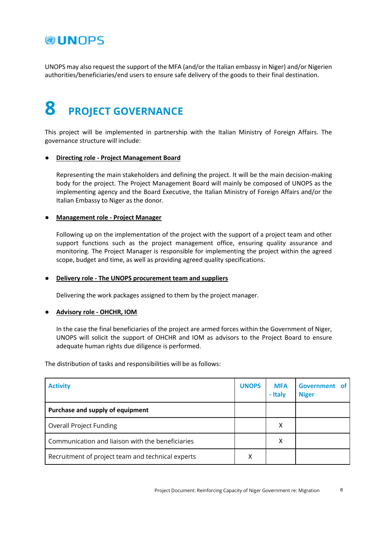### **@UNOPS**

<span id="page-8-0"></span>UNOPS may also request the support of the MFA (and/or the Italian embassy in Niger) and/or Nigerien authorities/beneficiaries/end users to ensure safe delivery of the goods to their final destination.

## **8 PROJECT GOVERNANCE**

This project will be implemented in partnership with the Italian Ministry of Foreign Affairs. The governance structure will include:

#### ● **Directing role - Project Management Board**

Representing the main stakeholders and defining the project. It will be the main decision-making body for the project. The Project Management Board will mainly be composed of UNOPS as the implementing agency and the Board Executive, the Italian Ministry of Foreign Affairs and/or the Italian Embassy to Niger as the donor.

#### ● **Management role - Project Manager**

Following up on the implementation of the project with the support of a project team and other support functions such as the project management office, ensuring quality assurance and monitoring. The Project Manager is responsible for implementing the project within the agreed scope, budget and time, as well as providing agreed quality specifications.

#### ● **Delivery role - The UNOPS procurement team and suppliers**

Delivering the work packages assigned to them by the project manager.

#### ● **Advisory role - OHCHR, IOM**

In the case the final beneficiaries of the project are armed forces within the Government of Niger, UNOPS will solicit the support of OHCHR and IOM as advisors to the Project Board to ensure adequate human rights due diligence is performed.

The distribution of tasks and responsibilities will be as follows:

| <b>Activity</b>                                   | <b>UNOPS</b> | <b>MFA</b><br>- Italy | Government of<br><b>Niger</b> |
|---------------------------------------------------|--------------|-----------------------|-------------------------------|
| Purchase and supply of equipment                  |              |                       |                               |
| <b>Overall Project Funding</b>                    |              | x                     |                               |
| Communication and liaison with the beneficiaries  |              | x                     |                               |
| Recruitment of project team and technical experts | х            |                       |                               |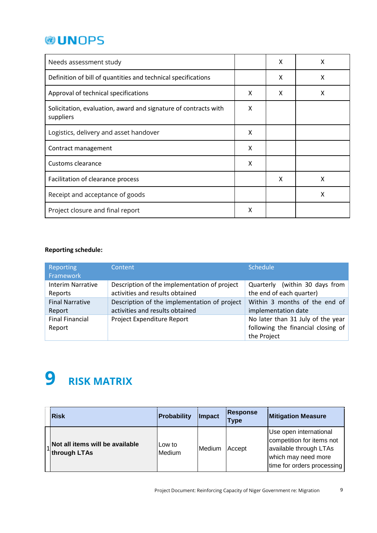| Needs assessment study                                                       |   | x | X |
|------------------------------------------------------------------------------|---|---|---|
| Definition of bill of quantities and technical specifications                |   | X | X |
| Approval of technical specifications                                         | X | X | X |
| Solicitation, evaluation, award and signature of contracts with<br>suppliers |   |   |   |
| Logistics, delivery and asset handover                                       |   |   |   |
| Contract management                                                          |   |   |   |
| Customs clearance                                                            |   |   |   |
| Facilitation of clearance process                                            |   | X | X |
| Receipt and acceptance of goods                                              |   |   | X |
| Project closure and final report                                             | X |   |   |

#### **Reporting schedule:**

| Reporting<br>Framework   | Content                                      | Schedule                           |  |  |
|--------------------------|----------------------------------------------|------------------------------------|--|--|
| <b>Interim Narrative</b> | Description of the implementation of project | Quarterly (within 30 days from     |  |  |
| Reports                  | activities and results obtained              | the end of each quarter)           |  |  |
| <b>Final Narrative</b>   | Description of the implementation of project | Within 3 months of the end of      |  |  |
| Report                   | activities and results obtained              | implementation date                |  |  |
| <b>Final Financial</b>   | Project Expenditure Report                   | No later than 31 July of the year  |  |  |
| Report                   |                                              | following the financial closing of |  |  |
|                          |                                              | the Project                        |  |  |

## <span id="page-9-0"></span>**9 RISK MATRIX**

| <b>Risk</b>                                     | Probability      | Impact | <b>Response</b><br>Type | <b>Mitigation Measure</b>                                                                                                          |
|-------------------------------------------------|------------------|--------|-------------------------|------------------------------------------------------------------------------------------------------------------------------------|
| Not all items will be available<br>through LTAs | Low to<br>Medium | Medium | Accept                  | Use open international<br>competition for items not<br>available through LTAs<br>which may need more<br>time for orders processing |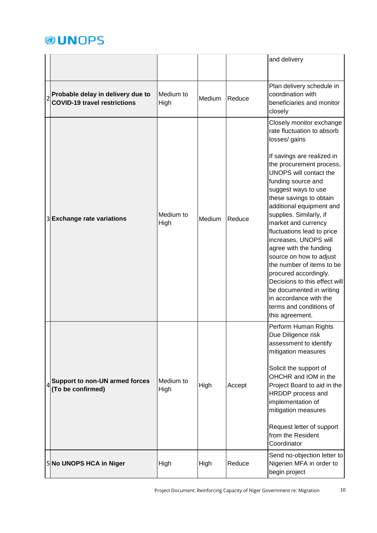|                                                                          |                   |        |        | and delivery                                                                                                                                                                                                                                                                                                                                                                                                                                                                                                                                                                                                             |
|--------------------------------------------------------------------------|-------------------|--------|--------|--------------------------------------------------------------------------------------------------------------------------------------------------------------------------------------------------------------------------------------------------------------------------------------------------------------------------------------------------------------------------------------------------------------------------------------------------------------------------------------------------------------------------------------------------------------------------------------------------------------------------|
| Probable delay in delivery due to<br><b>COVID-19 travel restrictions</b> | Medium to<br>High | Medium | Reduce | Plan delivery schedule in<br>coordination with<br>beneficiaries and monitor<br>closely                                                                                                                                                                                                                                                                                                                                                                                                                                                                                                                                   |
| 3 Exchange rate variations                                               | Medium to<br>High | Medium | Reduce | Closely monitor exchange<br>rate fluctuation to absorb<br>losses/ gains<br>If savings are realized in<br>the procurement process,<br>UNOPS will contact the<br>funding source and<br>suggest ways to use<br>these savings to obtain<br>additional equipment and<br>supplies. Similarly, if<br>market and currency<br>fluctuations lead to price<br>increases, UNOPS will<br>agree with the funding<br>source on how to adjust<br>the number of items to be<br>procured accordingly.<br>Decisions to this effect will<br>be documented in writing<br>in accordance with the<br>terms and conditions of<br>this agreement. |
| <b>Support to non-UN armed forces</b><br>(To be confirmed)               | Medium to<br>High | High   | Accept | Perform Human Rights<br>Due Diligence risk<br>assessment to identify<br>mitigation measures<br>Solicit the support of<br>OHCHR and IOM in the<br>Project Board to aid in the<br>HRDDP process and<br>implementation of<br>mitigation measures<br>Request letter of support<br>from the Resident<br>Coordinator                                                                                                                                                                                                                                                                                                           |
| 5 No UNOPS HCA in Niger                                                  | High              | High   | Reduce | Send no-objection letter to<br>Nigerien MFA in order to<br>begin project                                                                                                                                                                                                                                                                                                                                                                                                                                                                                                                                                 |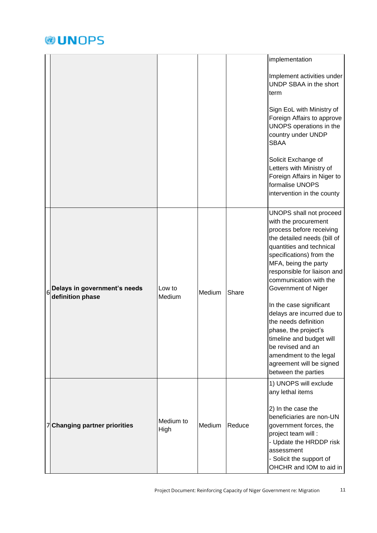|   |                                                  |                   |        |        | implementation                                                                                                                                                                                                                                                             |
|---|--------------------------------------------------|-------------------|--------|--------|----------------------------------------------------------------------------------------------------------------------------------------------------------------------------------------------------------------------------------------------------------------------------|
|   |                                                  |                   |        |        | Implement activities under<br>UNDP SBAA in the short<br>term                                                                                                                                                                                                               |
|   |                                                  |                   |        |        | Sign EoL with Ministry of<br>Foreign Affairs to approve<br>UNOPS operations in the<br>country under UNDP<br><b>SBAA</b>                                                                                                                                                    |
|   |                                                  |                   |        |        | Solicit Exchange of<br>Letters with Ministry of<br>Foreign Affairs in Niger to<br>formalise UNOPS<br>intervention in the county                                                                                                                                            |
| 6 | Delays in government's needs<br>definition phase | Low to<br>Medium  | Medium | Share  | UNOPS shall not proceed<br>with the procurement<br>process before receiving<br>the detailed needs (bill of<br>quantities and technical<br>specifications) from the<br>MFA, being the party<br>responsible for liaison and<br>communication with the<br>Government of Niger |
|   |                                                  |                   |        |        | In the case significant<br>delays are incurred due to<br>the needs definition<br>phase, the project's<br>timeline and budget will<br>be revised and an<br>amendment to the legal<br>agreement will be signed<br>between the parties                                        |
|   | <b>Changing partner priorities</b>               | Medium to<br>High | Medium | Reduce | 1) UNOPS will exclude<br>any lethal items<br>2) In the case the<br>beneficiaries are non-UN<br>government forces, the                                                                                                                                                      |
|   |                                                  |                   |        |        | project team will:<br>- Update the HRDDP risk<br>assessment<br>- Solicit the support of<br>OHCHR and IOM to aid in                                                                                                                                                         |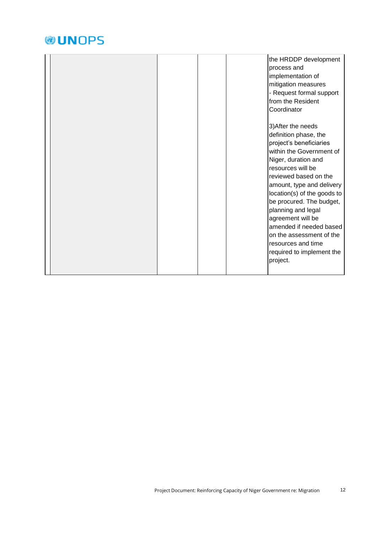|  | the HRDDP development<br>process and<br>implementation of<br>mitigation measures<br>- Request formal support<br>from the Resident<br>Coordinator                                                                                                                                                                                                                                                                                 |  |
|--|----------------------------------------------------------------------------------------------------------------------------------------------------------------------------------------------------------------------------------------------------------------------------------------------------------------------------------------------------------------------------------------------------------------------------------|--|
|  | 3) After the needs<br>definition phase, the<br>project's beneficiaries<br>within the Government of<br>Niger, duration and<br>resources will be<br>reviewed based on the<br>amount, type and delivery<br>location(s) of the goods to<br>be procured. The budget,<br>planning and legal<br>agreement will be<br>amended if needed based<br>on the assessment of the<br>resources and time<br>required to implement the<br>project. |  |